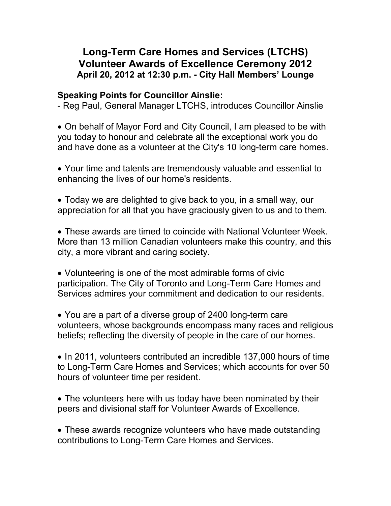## **Long-Term Care Homes and Services (LTCHS) Volunteer Awards of Excellence Ceremony 2012 April 20, 2012 at 12:30 p.m. - City Hall Members' Lounge**

## **Speaking Points for Councillor Ainslie:**

- Reg Paul, General Manager LTCHS, introduces Councillor Ainslie

 On behalf of Mayor Ford and City Council, I am pleased to be with you today to honour and celebrate all the exceptional work you do and have done as a volunteer at the City's 10 long-term care homes.

 Your time and talents are tremendously valuable and essential to enhancing the lives of our home's residents.

 Today we are delighted to give back to you, in a small way, our appreciation for all that you have graciously given to us and to them.

 These awards are timed to coincide with National Volunteer Week. More than 13 million Canadian volunteers make this country, and this city, a more vibrant and caring society.

 Volunteering is one of the most admirable forms of civic participation. The City of Toronto and Long-Term Care Homes and Services admires your commitment and dedication to our residents.

 You are a part of a diverse group of 2400 long-term care volunteers, whose backgrounds encompass many races and religious beliefs; reflecting the diversity of people in the care of our homes.

• In 2011, volunteers contributed an incredible 137,000 hours of time to Long-Term Care Homes and Services; which accounts for over 50 hours of volunteer time per resident.

• The volunteers here with us today have been nominated by their peers and divisional staff for Volunteer Awards of Excellence.

 These awards recognize volunteers who have made outstanding contributions to Long-Term Care Homes and Services.